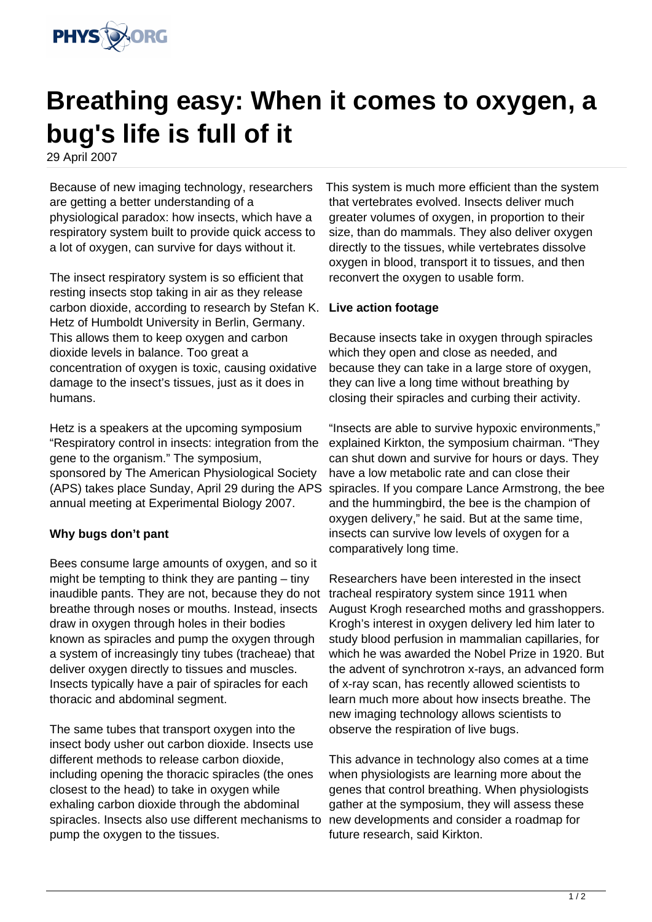

## **Breathing easy: When it comes to oxygen, a bug's life is full of it**

29 April 2007

Because of new imaging technology, researchers are getting a better understanding of a physiological paradox: how insects, which have a respiratory system built to provide quick access to a lot of oxygen, can survive for days without it.

The insect respiratory system is so efficient that resting insects stop taking in air as they release carbon dioxide, according to research by Stefan K. Hetz of Humboldt University in Berlin, Germany. This allows them to keep oxygen and carbon dioxide levels in balance. Too great a concentration of oxygen is toxic, causing oxidative damage to the insect's tissues, just as it does in humans.

Hetz is a speakers at the upcoming symposium "Respiratory control in insects: integration from the gene to the organism." The symposium, sponsored by The American Physiological Society (APS) takes place Sunday, April 29 during the APS annual meeting at Experimental Biology 2007.

## **Why bugs don't pant**

Bees consume large amounts of oxygen, and so it might be tempting to think they are panting – tiny inaudible pants. They are not, because they do not breathe through noses or mouths. Instead, insects draw in oxygen through holes in their bodies known as spiracles and pump the oxygen through a system of increasingly tiny tubes (tracheae) that deliver oxygen directly to tissues and muscles. Insects typically have a pair of spiracles for each thoracic and abdominal segment.

The same tubes that transport oxygen into the insect body usher out carbon dioxide. Insects use different methods to release carbon dioxide, including opening the thoracic spiracles (the ones closest to the head) to take in oxygen while exhaling carbon dioxide through the abdominal spiracles. Insects also use different mechanisms to pump the oxygen to the tissues.

This system is much more efficient than the system that vertebrates evolved. Insects deliver much greater volumes of oxygen, in proportion to their size, than do mammals. They also deliver oxygen directly to the tissues, while vertebrates dissolve oxygen in blood, transport it to tissues, and then reconvert the oxygen to usable form.

## **Live action footage**

Because insects take in oxygen through spiracles which they open and close as needed, and because they can take in a large store of oxygen, they can live a long time without breathing by closing their spiracles and curbing their activity.

"Insects are able to survive hypoxic environments," explained Kirkton, the symposium chairman. "They can shut down and survive for hours or days. They have a low metabolic rate and can close their spiracles. If you compare Lance Armstrong, the bee and the hummingbird, the bee is the champion of oxygen delivery," he said. But at the same time, insects can survive low levels of oxygen for a comparatively long time.

Researchers have been interested in the insect tracheal respiratory system since 1911 when August Krogh researched moths and grasshoppers. Krogh's interest in oxygen delivery led him later to study blood perfusion in mammalian capillaries, for which he was awarded the Nobel Prize in 1920. But the advent of synchrotron x-rays, an advanced form of x-ray scan, has recently allowed scientists to learn much more about how insects breathe. The new imaging technology allows scientists to observe the respiration of live bugs.

This advance in technology also comes at a time when physiologists are learning more about the genes that control breathing. When physiologists gather at the symposium, they will assess these new developments and consider a roadmap for future research, said Kirkton.